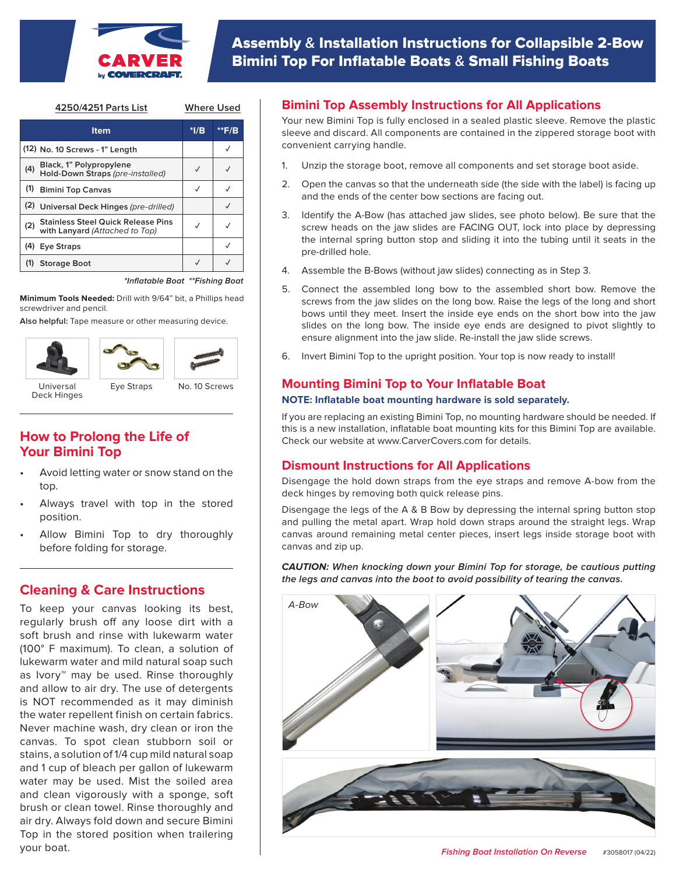

| 4250/4251 Parts List                                               | <b>Where Used</b> |       |
|--------------------------------------------------------------------|-------------------|-------|
| ltem                                                               | $*I/B$            | **F/B |
| (12) No. 10 Screws - 1" Length                                     |                   |       |
| Black, 1" Polypropylene<br>Hold-Down Straps (pre-installed)<br>(4) |                   |       |

| ' Hold-Down Straps (pre-installed)                                          |  |
|-----------------------------------------------------------------------------|--|
| (1) Bimini Top Canvas                                                       |  |
| (2) Universal Deck Hinges (pre-drilled)                                     |  |
| Stainless Steel Quick Release Pins<br>with Lanyard (Attached to Top)<br>(2) |  |
| (4) Eye Straps                                                              |  |
| <b>Storage Boot</b>                                                         |  |

**\*Inflatable Boat \*\*Fishing Boat**

**Minimum Tools Needed:** Drill with 9/64" bit, a Phillips head screwdriver and pencil.

**Also helpful:** Tape measure or other measuring device.







Deck Hinges

# **How to Prolong the Life of Your Bimini Top**

- Avoid letting water or snow stand on the top.
- Always travel with top in the stored position.
- Allow Bimini Top to dry thoroughly before folding for storage.

# **Cleaning & Care Instructions**

To keep your canvas looking its best, regularly brush off any loose dirt with a soft brush and rinse with lukewarm water (100° F maximum). To clean, a solution of lukewarm water and mild natural soap such as Ivory™ may be used. Rinse thoroughly and allow to air dry. The use of detergents is NOT recommended as it may diminish the water repellent finish on certain fabrics. Never machine wash, dry clean or iron the canvas. To spot clean stubborn soil or stains, a solution of 1/4 cup mild natural soap and 1 cup of bleach per gallon of lukewarm water may be used. Mist the soiled area and clean vigorously with a sponge, soft brush or clean towel. Rinse thoroughly and air dry. Always fold down and secure Bimini Top in the stored position when trailering your boat.

## **Bimini Top Assembly Instructions for All Applications**

Your new Bimini Top is fully enclosed in a sealed plastic sleeve. Remove the plastic sleeve and discard. All components are contained in the zippered storage boot with convenient carrying handle.

- 1. Unzip the storage boot, remove all components and set storage boot aside.
- 2. Open the canvas so that the underneath side (the side with the label) is facing up and the ends of the center bow sections are facing out.
- 3. Identify the A-Bow (has attached jaw slides, see photo below). Be sure that the screw heads on the jaw slides are FACING OUT, lock into place by depressing the internal spring button stop and sliding it into the tubing until it seats in the pre-drilled hole.
- 4. Assemble the B-Bows (without jaw slides) connecting as in Step 3.
- 5. Connect the assembled long bow to the assembled short bow. Remove the screws from the jaw slides on the long bow. Raise the legs of the long and short bows until they meet. Insert the inside eye ends on the short bow into the jaw slides on the long bow. The inside eye ends are designed to pivot slightly to ensure alignment into the jaw slide. Re-install the jaw slide screws.
- 6. Invert Bimini Top to the upright position. Your top is now ready to install!

# **Mounting Bimini Top to Your Inflatable Boat**

#### **NOTE: Inflatable boat mounting hardware is sold separately.**

If you are replacing an existing Bimini Top, no mounting hardware should be needed. If this is a new installation, inflatable boat mounting kits for this Bimini Top are available. Check our website at www.CarverCovers.com for details.

### **Dismount Instructions for All Applications**

Disengage the hold down straps from the eye straps and remove A-bow from the deck hinges by removing both quick release pins.

Disengage the legs of the A & B Bow by depressing the internal spring button stop and pulling the metal apart. Wrap hold down straps around the straight legs. Wrap canvas around remaining metal center pieces, insert legs inside storage boot with canvas and zip up.

**CAUTION: When knocking down your Bimini Top for storage, be cautious putting the legs and canvas into the boot to avoid possibility of tearing the canvas.**